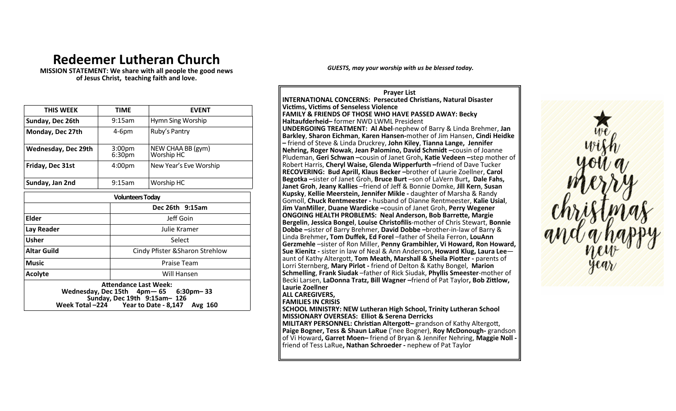## **Redeemer Lutheran Church**

**MISSION STATEMENT: We share with all people the good news of Jesus Christ, teaching faith and love.**

| THIS WEEK                                                                                                                                               | <b>TIME</b>                              | <b>EVENT</b>                    |  |
|---------------------------------------------------------------------------------------------------------------------------------------------------------|------------------------------------------|---------------------------------|--|
| Sunday, Dec 26th                                                                                                                                        | $9:15$ am                                | Hymn Sing Worship               |  |
| Monday, Dec 27th                                                                                                                                        | $4-6pm$                                  | Ruby's Pantry                   |  |
| <b>Wednesday, Dec 29th</b>                                                                                                                              | 3:00 <sub>pm</sub><br>6:30 <sub>pm</sub> | NEW CHAA BB (gym)<br>Worship HC |  |
| Friday, Dec 31st                                                                                                                                        | 4:00pm                                   | New Year's Eve Worship          |  |
| Sunday, Jan 2nd                                                                                                                                         | 9:15am                                   | Worship HC                      |  |
| <b>Volunteers Today</b>                                                                                                                                 |                                          |                                 |  |
|                                                                                                                                                         |                                          | Dec 26th 9:15am                 |  |
| <b>Elder</b>                                                                                                                                            |                                          | Jeff Goin                       |  |
| Lay Reader                                                                                                                                              |                                          | Julie Kramer                    |  |
| <b>Usher</b>                                                                                                                                            |                                          | Select                          |  |
| <b>Altar Guild</b>                                                                                                                                      |                                          | Cindy Pfister & Sharon Strehlow |  |
| <b>Music</b>                                                                                                                                            |                                          | <b>Praise Team</b>              |  |
| Acolyte                                                                                                                                                 |                                          | Will Hansen                     |  |
| <b>Attendance Last Week:</b><br>Wednesday, Dec 15th 4pm - 65 6:30pm - 33<br>Sunday, Dec 19th 9:15am-126<br>Week Total -224 Year to Date - 8,147 Avg 160 |                                          |                                 |  |

*GUESTS, may your worship with us be blessed today.* 

**Prayer List INTERNATIONAL CONCERNS: Persecuted Christians, Natural Disaster Victims, Victims of Senseless Violence FAMILY & FRIENDS OF THOSE WHO HAVE PASSED AWAY: Becky Haltaufderheid–** former NWD LWML President **UNDERGOING TREATMENT: Al Abel**-nephew of Barry & Linda Brehmer, **Jan Barkley**, **Sharon Eichman**, **Karen Hansen-**mother of Jim Hansen, **Cindi Heidke –** friend of Steve & Linda Druckrey, **John Kiley**, **Tianna Lange, Jennifer Nehring, Roger Nowak**, **Jean Palomino, David Schmidt –**cousin of Joanne Pludeman, **Geri Schwan –**cousin of Janet Groh**, Katie Vedeen –**step mother of Robert Harris, **Cheryl Waise, Glenda Wipperfurth –**friend of Dave Tucker **RECOVERING: Bud Aprill, Klaus Becker –**brother of Laurie Zoellner, **Carol Begotka –**sister of Janet Groh, **Bruce Burt** –son of LaVern Burt**, Dale Fahs, Janet Groh**, **Jeany Kallies** –friend of Jeff & Bonnie Domke, **Jill Kern**, **Susan Kupsky**, **Kellie Meerstein, Jennifer Mikle -** daughter of Marsha & Randy Gomoll, **Chuck Rentmeester -** husband of Dianne Rentmeester, **Kalie Usial**, **Jim VanMiller**, **Duane Wardicke –**cousin of Janet Groh, **Perry Wegener ONGOING HEALTH PROBLEMS: Neal Anderson, Bob Barrette, Margie Bergelin**, **Jessica Bongel**, **Louise Christofilis**-mother of Chris Stewart, **Bonnie Dobbe –**sister of Barry Brehmer, **David Dobbe –**brother-in-law of Barry & Linda Brehmer**, Tom Duffek, Ed Forel** –father of Sheila Ferron, **LouAnn Gerzmehle** –sister of Ron Miller, **Penny Grambihler, Vi Howard, Ron Howard, Sue Kienitz -** sister in law of Neal & Ann Anderson**, Howard Klug, Laura Lee** aunt of Kathy Altergott, **Tom Meath, Marshall & Sheila Piotter -** parents of Lorri Sternberg, **Mary Pirlot -** friend of Delton & Kathy Bongel, **Marion Schmelling**, **Frank Siudak** –father of Rick Siudak, **Phyllis Smeester**-mother of Becki Larsen, **LaDonna Tratz, Bill Wagner –**friend of Pat Taylor**, Bob Zittlow, Laurie Zoellner ALL CAREGIVERS, FAMILIES IN CRISIS**

**SCHOOL MINISTRY: NEW Lutheran High School, Trinity Lutheran School MISSIONARY OVERSEAS: Elliot & Serena Derricks MILITARY PERSONNEL: Christian Altergott–** grandson of Kathy Altergott, **Paige Bogner, Tess & Shaun LaRue** ('nee Bogner), **Roy McDonough-** grandson of Vi Howard**, Garret Moen–** friend of Bryan & Jennifer Nehring, **Maggie Noll**  friend of Tess LaRue**, Nathan Schroeder -** nephew of Pat Taylor